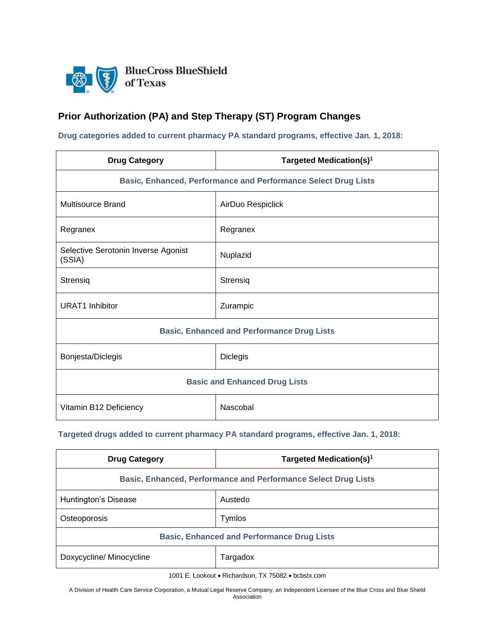

## **Prior Authorization (PA) and Step Therapy (ST) Program Changes**

**Drug categories added to current pharmacy PA standard programs, effective Jan. 1, 2018:**

| <b>Drug Category</b>                                           | Targeted Medication(s) <sup>1</sup> |
|----------------------------------------------------------------|-------------------------------------|
| Basic, Enhanced, Performance and Performance Select Drug Lists |                                     |
| <b>Multisource Brand</b>                                       | AirDuo Respiclick                   |
| Regranex                                                       | Regranex                            |
| Selective Serotonin Inverse Agonist<br>(SSIA)                  | Nuplazid                            |
| Strensiq                                                       | Strensiq                            |
| <b>URAT1</b> Inhibitor                                         | Zurampic                            |
| <b>Basic, Enhanced and Performance Drug Lists</b>              |                                     |
| Bonjesta/Diclegis                                              | <b>Diclegis</b>                     |
| <b>Basic and Enhanced Drug Lists</b>                           |                                     |
| Vitamin B12 Deficiency                                         | Nascobal                            |

## **Targeted drugs added to current pharmacy PA standard programs, effective Jan. 1, 2018:**

| <b>Drug Category</b>                                           | Targeted Medication(s) <sup>1</sup> |  |
|----------------------------------------------------------------|-------------------------------------|--|
| Basic, Enhanced, Performance and Performance Select Drug Lists |                                     |  |
| Huntington's Disease                                           | Austedo                             |  |
| Osteoporosis                                                   | Tymlos                              |  |
| <b>Basic, Enhanced and Performance Drug Lists</b>              |                                     |  |
| Doxycycline/ Minocycline                                       | Targadox                            |  |

1001 E. Lookout • Richardson, TX 75082 • bcbstx.com

A Division of Health Care Service Corporation, a Mutual Legal Reserve Company, an Independent Licensee of the Blue Cross and Blue Shield Association